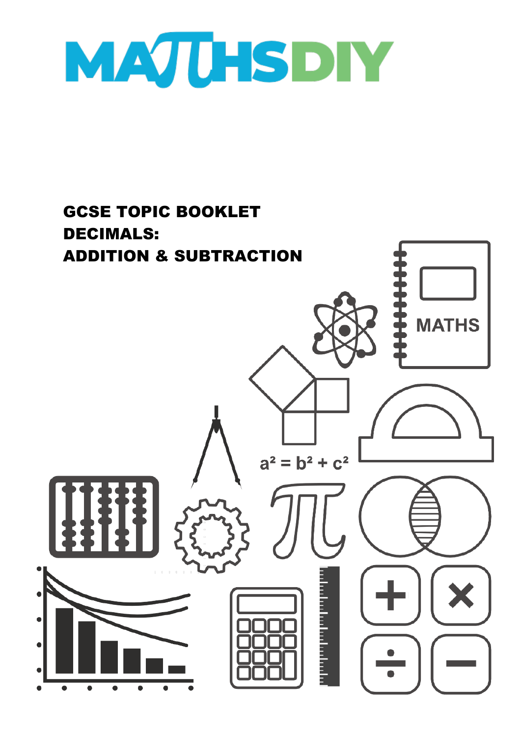

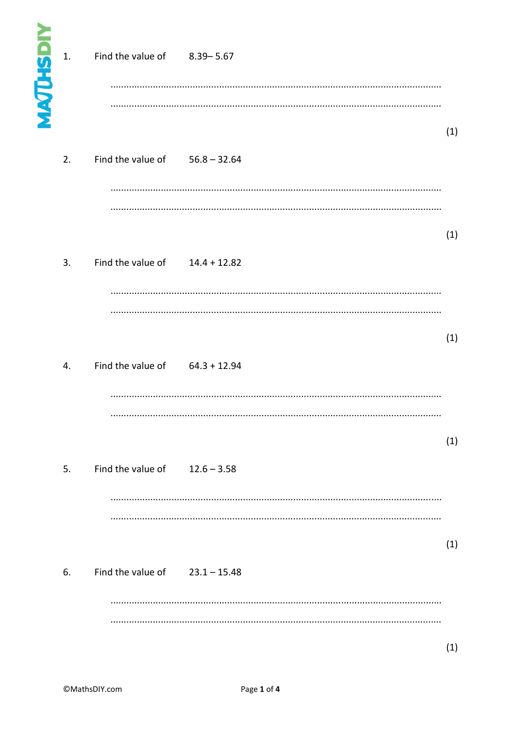| <b>MAJUHSDIY</b> | 1. | Find the value of 8.39-5.67      |     |  |
|------------------|----|----------------------------------|-----|--|
|                  | 2. | Find the value of $56.8 - 32.64$ | (1) |  |
|                  | 3. | Find the value of $14.4 + 12.82$ | (1) |  |
|                  | 4. | Find the value of $64.3 + 12.94$ | (1) |  |
|                  | 5. | Find the value of $12.6 - 3.58$  | (1) |  |
|                  | 6. | Find the value of $23.1 - 15.48$ | (1) |  |
|                  |    |                                  | (1) |  |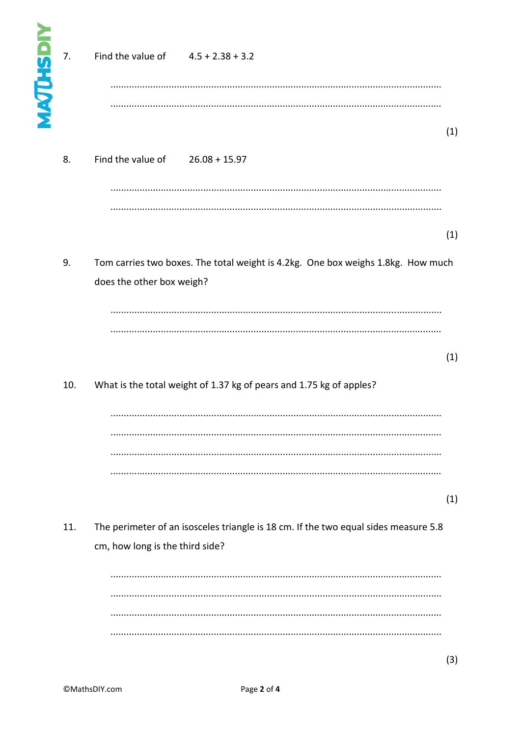| <b>MAJUHSDIY</b> | 7.  | Find the value of $4.5 + 2.38 + 3.2$                                                                                   |     |
|------------------|-----|------------------------------------------------------------------------------------------------------------------------|-----|
|                  | 8.  | Find the value of<br>$26.08 + 15.97$                                                                                   | (1) |
|                  | 9.  | Tom carries two boxes. The total weight is 4.2kg. One box weighs 1.8kg. How much<br>does the other box weigh?          | (1) |
|                  | 10. | What is the total weight of 1.37 kg of pears and 1.75 kg of apples?                                                    | (1) |
|                  |     |                                                                                                                        | (1) |
|                  | 11. | The perimeter of an isosceles triangle is 18 cm. If the two equal sides measure 5.8<br>cm, how long is the third side? |     |
|                  |     |                                                                                                                        |     |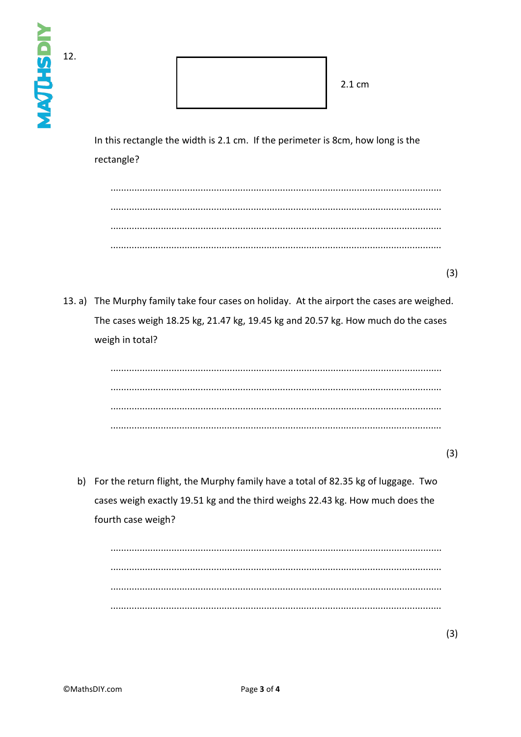| NAJUHSDI | 12. | 2.1 cm                                                                                                                                                                                            |     |
|----------|-----|---------------------------------------------------------------------------------------------------------------------------------------------------------------------------------------------------|-----|
|          |     | In this rectangle the width is 2.1 cm. If the perimeter is 8cm, how long is the<br>rectangle?                                                                                                     |     |
|          |     |                                                                                                                                                                                                   |     |
|          |     |                                                                                                                                                                                                   | (3) |
|          |     | 13. a) The Murphy family take four cases on holiday. At the airport the cases are weighed.<br>The cases weigh 18.25 kg, 21.47 kg, 19.45 kg and 20.57 kg. How much do the cases<br>weigh in total? |     |
|          |     |                                                                                                                                                                                                   | (3) |
|          |     | b) For the return flight, the Murphy family have a total of 82.35 kg of luggage. Two<br>cases weigh exactly 19.51 kg and the third weighs 22.43 kg. How much does the<br>fourth case weigh?       |     |
|          |     |                                                                                                                                                                                                   |     |
|          |     |                                                                                                                                                                                                   | (3) |